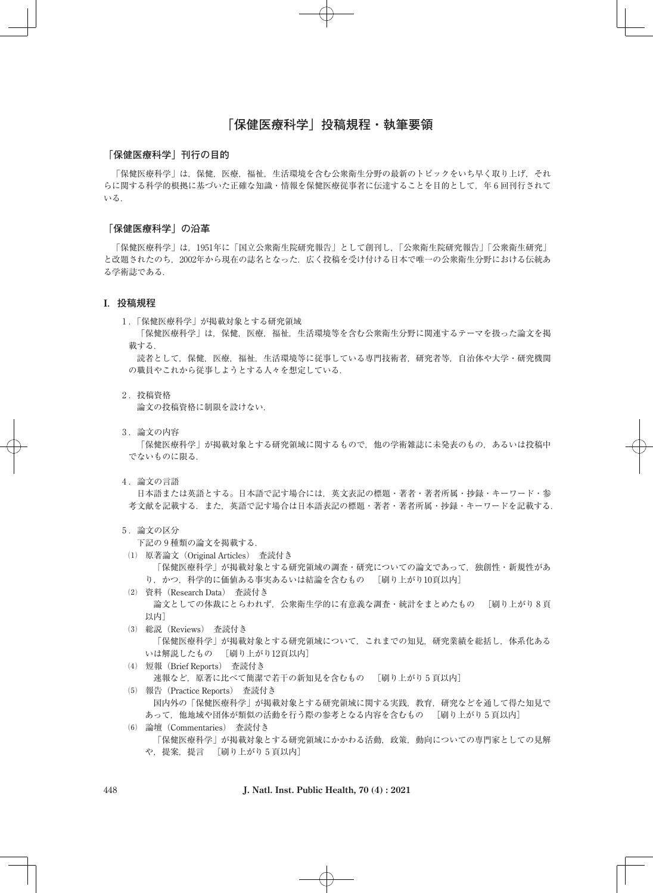# **「保健医療科学」投稿規程・執筆要領**

#### **「保健医療科学」刊行の目的**

「保健医療科学」は,保健,医療,福祉,生活環境を含む公衆衛生分野の最新のトピックをいち早く取り上げ,それ らに関する科学的根拠に基づいた正確な知識・情報を保健医療従事者に伝達することを目的として、年6回刊行されて いる.

#### **「保健医療科学」の沿革**

「保健医療科学」は,1951年に「国立公衆衛生院研究報告」として創刊し,「公衆衛生院研究報告」「公衆衛生研究」 と改題されたのち,2002年から現在の誌名となった.広く投稿を受け付ける日本で唯一の公衆衛生分野における伝統あ る学術誌である.

### **I.投稿規程**

1 .「保健医療科学」が掲載対象とする研究領域

「保健医療科学」は,保健,医療,福祉,生活環境等を含む公衆衛生分野に関連するテーマを扱った論文を掲 載する.

読者として,保健,医療,福祉,生活環境等に従事している専門技術者,研究者等,自治体や大学・研究機関 の職員やこれから従事しようとする人々を想定している.

2 .投稿資格

論文の投稿資格に制限を設けない.

3 .論文の内容

「保健医療科学」が掲載対象とする研究領域に関するもので,他の学術雑誌に未発表のもの,あるいは投稿中 でないものに限る.

4 .論文の言語

日本語または英語とする。日本語で記す場合には,英文表記の標題・著者・著者所属・抄録・キーワード・参 考文献を記載する.また,英語で記す場合は日本語表記の標題・著者・著者所属・抄録・キーワードを記載する.

5 .論文の区分

下記の 9 種類の論文を掲載する.

⑴ 原著論文(Original Articles) 査読付き

「保健医療科学」が掲載対象とする研究領域の調査・研究についての論文であって、独創性・新規性があ り,かつ,科学的に価値ある事実あるいは結論を含むもの [刷り上がり10頁以内]

- ⑵ 資料(Research Data) 査読付き 論文としての体裁にとらわれず,公衆衛生学的に有意義な調査・統計をまとめたもの [刷り上がり 8 頁 以内]
- ⑶ 総説(Reviews) 査読付き 「保健医療科学」が掲載対象とする研究領域について,これまでの知見,研究業績を総括し,体系化ある いは解説したもの [刷り上がり12頁以内]
- ⑷ 短報(Brief Reports) 査読付き 速報など,原著に比べて簡潔で若干の新知見を含むもの [刷り上がり 5 頁以内]
- ⑸ 報告(Practice Reports) 査読付き 国内外の「保健医療科学」が掲載対象とする研究領域に関する実践,教育,研究などを通して得た知見で あって,他地域や団体が類似の活動を行う際の参考となる内容を含むもの [刷り上がり 5 頁以内]
- ⑹ 論壇(Commentaries) 査読付き 「保健医療科学」が掲載対象とする研究領域にかかわる活動,政策,動向についての専門家としての見解 や,提案,提言 [刷り上がり 5 頁以内]

448 **J. Natl. Inst. Public Health, 70 (4) : 2021**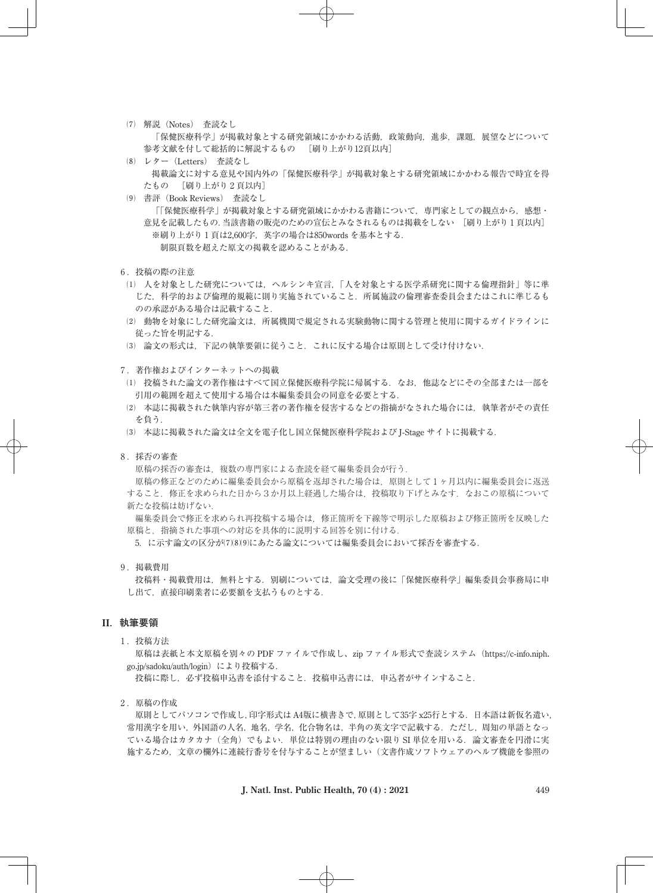- ⑺ 解説(Notes) 査読なし 「保健医療科学」が掲載対象とする研究領域にかかわる活動,政策動向,進歩,課題,展望などについて 参考文献を付して総括的に解説するもの [刷り上がり12頁以内]
- ⑻ レター(Letters) 査読なし 掲載論文に対する意見や国内外の「保健医療科学」が掲載対象とする研究領域にかかわる報告で時宜を得 たもの [刷り上がり 2 頁以内]
- ⑼ 書評(Book Reviews) 査読なし 「「保健医療科学」が掲載対象とする研究領域にかかわる書籍について,専門家としての観点から,感想・ 意見を記載したもの.当該書籍の販売のための宣伝とみなされるものは掲載をしない [刷り上がり 1 頁以内] ※刷り上がり1頁は2,600字,英字の場合は850words を基本とする. 制限頁数を超えた原文の掲載を認めることがある.
- 6 .投稿の際の注意
- ⑴ 人を対象とした研究については,ヘルシンキ宣言,「人を対象とする医学系研究に関する倫理指針」等に準 じた,科学的および倫理的規範に則り実施されていること.所属施設の倫理審査委員会またはこれに準じるも のの承認がある場合は記載すること.
- ⑵ 動物を対象にした研究論文は,所属機関で規定される実験動物に関する管理と使用に関するガイドラインに 従った旨を明記する.
- ⑶ 論文の形式は,下記の執筆要領に従うこと.これに反する場合は原則として受け付けない.

7 .著作権およびインターネットへの掲載

- ⑴ 投稿された論文の著作権はすべて国立保健医療科学院に帰属する.なお,他誌などにその全部または一部を 引用の範囲を超えて使用する場合は本編集委員会の同意を必要とする.
- ⑵ 本誌に掲載された執筆内容が第三者の著作権を侵害するなどの指摘がなされた場合には,執筆者がその責任 を負う.
- ⑶ 本誌に掲載された論文は全文を電子化し国立保健医療科学院および J-Stage サイトに掲載する.
- 8. 採否の審査

原稿の採否の審査は,複数の専門家による査読を経て編集委員会が行う.

原稿の修正などのために編集委員会から原稿を返却された場合は,原則として 1 ヶ月以内に編集委員会に返送 すること. 修正を求められた日から3か月以上経過した場合は、投稿取り下げとみなす. なおこの原稿について 新たな投稿は妨げない.

編集委員会で修正を求められ再投稿する場合は,修正箇所を下線等で明示した原稿および修正箇所を反映した 原稿と,指摘された事項への対応を具体的に説明する回答を別に付ける.

5. に示す論文の区分が(7)(8)(9)にあたる論文については編集委員会において採否を審査する.

9 .掲載費用

投稿料・掲載費用は,無料とする.別刷については,論文受理の後に「保健医療科学」編集委員会事務局に申 し出て,直接印刷業者に必要額を支払うものとする.

### **II.執筆要領**

1 .投稿方法

原稿は表紙と本文原稿を別々の PDF ファイルで作成し、zip ファイル形式で査読システム(https://c-info.niph. go.jp/sadoku/auth/login)により投稿する.

投稿に際し,必ず投稿申込書を添付すること.投稿申込書には,申込者がサインすること.

2. 原稿の作成

原則としてパソコンで作成し,印字形式は A4版に横書きで,原則として35字 x25行とする.日本語は新仮名遣い, 常用漢字を用い,外国語の人名,地名,学名,化合物名は,半角の英文字で記載する.ただし,周知の単語となっ ている場合はカタカナ(全角)でもよい.単位は特別の理由のない限り SI 単位を用いる.論文審査を円滑に実 施するため,文章の欄外に連続行番号を付与することが望ましい(文書作成ソフトウェアのヘルプ機能を参照の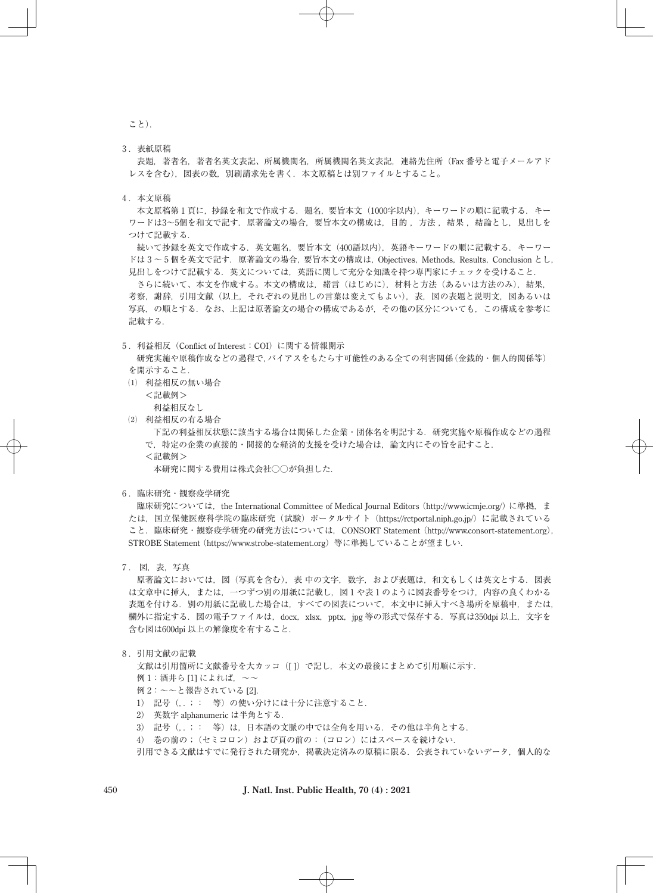こと).

3 .表紙原稿

表題,著者名,著者名英文表記、所属機関名,所属機関名英文表記,連絡先住所(Fax 番号と電子メールアド レスを含む),図表の数,別刷請求先を書く.本文原稿とは別ファイルとすること。

4 .本文原稿

本文原稿第 1 頁に,抄録を和文で作成する.題名,要旨本文(1000字以内),キーワードの順に記載する.キー ワードは3~5個を和文で記す. 原著論文の場合, 要旨本文の構成は、目的, 方法, 結果, 結論とし, 見出しを つけて記載する.

続いて抄録を英文で作成する.英文題名,要旨本文(400語以内),英語キーワードの順に記載する.キーワー ドは 3~5個を英文で記す. 原著論文の場合, 要旨本文の構成は, Objectives, Methods, Results, Conclusion とし, 見出しをつけて記載する.英文については,英語に関して充分な知識を持つ専門家にチェックを受けること.

さらに続いて、本文を作成する。本文の構成は、緒言(はじめに)、材料と方法(あるいは方法のみ),結果, 考察, 謝辞, 引用文献(以上, それぞれの見出しの言葉は変えてもよい), 表, 図の表題と説明文, 図あるいは 写真、の順とする. なお、上記は原著論文の場合の構成であるが、その他の区分についても、この構成を参考に 記載する.

#### 5 .利益相反(Conflict of Interest:COI)に関する情報開示

研究実施や原稿作成などの過程で,バイアスをもたらす可能性のある全ての利害関係(金銭的・個人的関係等) を開示すること.

⑴ 利益相反の無い場合

<記載例>

利益相反なし

⑵ 利益相反の有る場合

下記の利益相反状態に該当する場合は関係した企業・団体名を明記する.研究実施や原稿作成などの過程 で,特定の企業の直接的・間接的な経済的支援を受けた場合は,論文内にその旨を記すこと. <記載例>

本研究に関する費用は株式会社○○が負担した.

6 .臨床研究・観察疫学研究

臨床研究については, the International Committee of Medical Journal Editors (http://www.icmje.org/) に準拠, ま たは、国立保健医療科学院の臨床研究(試験)ポータルサイト (https://rctportal.niph.go.jp/)に記載されている こと.臨床研究・観察疫学研究の研究方法については,CONSORT Statement (http://www.consort-statement.org), STROBE Statement (https://www.strobe-statement.org)等に準拠していることが望ましい.

7 . 図,表,写真

原著論文においては、図(写真を含む),表 中の文字, 数字,および表題は、和文もしくは英文とする. 図表 は文章中に挿入、または、一つずつ別の用紙に記載し、図1や表1のように図表番号をつけ、内容の良くわかる 表題を付ける.別の用紙に記載した場合は,すべての図表について,本文中に挿入すべき場所を原稿中,または, 欄外に指定する. 図の電子ファイルは, docx, xlsx, pptx, jpg 等の形式で保存する. 写真は350dpi 以上, 文字を 含む図は600dpi 以上の解像度を有すること.

8 .引用文献の記載

文献は引用箇所に文献番号を大カッコ([1)で記し、本文の最後にまとめて引用順に示す. 例1: 酒井ら [1] によれば、~~

- 例 2:~~と報告されている [2].
- 1) 記号(..;: 等)の使い分けには十分に注意すること.
- ♴ 英数字 alphanumeric は半角とする.
- 3) 記号(..;: 等)は、日本語の文脈の中では全角を用いる. その他は半角とする.
- ♶ 巻の前の;(セミコロン)および頁の前の:(コロン)にはスペースを続けない.
- 引用できる文献はすでに発行された研究か、掲載決定済みの原稿に限る、公表されていないデータ、個人的な

450 **J. Natl. Inst. Public Health, 70 (4) : 2021**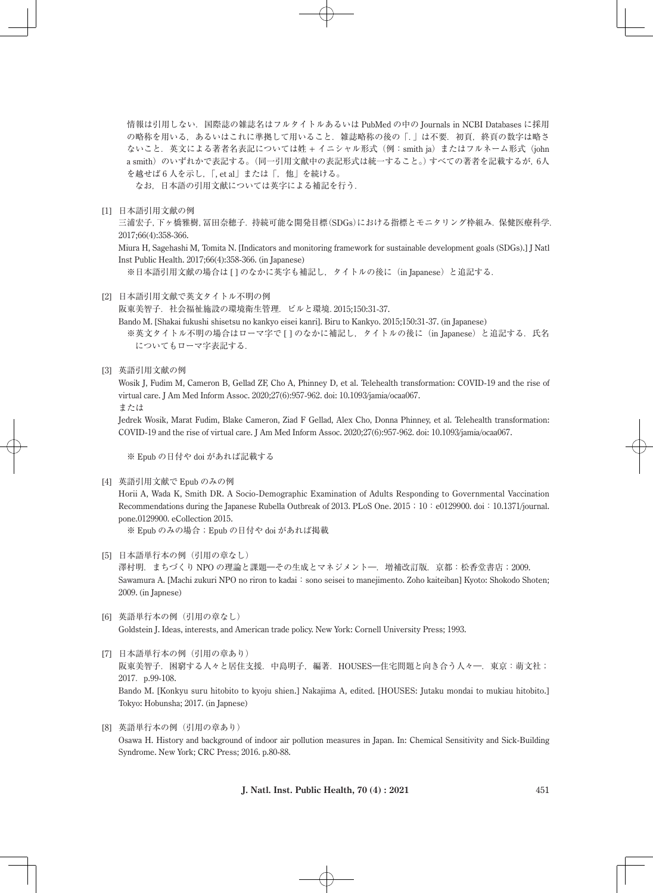情報は引用しない.国際誌の雑誌名はフルタイトルあるいは PubMed の中の Journals in NCBI Databases に採用 の略称を用いる、あるいはこれに準拠して用いること. 雑誌略称の後の「.」は不要. 初頁, 終頁の数字は略さ ないこと. 英文による著者名表記については姓 + イニシャル形式 (例: smith ja) またはフルネーム形式 (john a smith)のいずれかで表記する。(同一引用文献中の表記形式は統一すること。)すべての著者を記載するが, 6人 を越せば 6 人を示し, 「, et al」または「, 他」を続ける。

なお,日本語の引用文献については英字による補記を行う.

[1] 日本語引用文献の例

三浦宏子,下ヶ橋雅樹,冨田奈穂子. 持続可能な開発目標(SDGs)における指標とモニタリング枠組み. 保健医療科学. 2017;66(4):358-366.

Miura H, Sagehashi M, Tomita N. [Indicators and monitoring framework for sustainable development goals (SDGs).] J Natl Inst Public Health. 2017;66(4):358-366. (in Japanese)

※日本語引用文献の場合は [ ] のなかに英字も補記し、タイトルの後に(in Japanese)と追記する.

[2] 日本語引用文献で英文タイトル不明の例

阪東美智子.社会福祉施設の環境衛生管理.ビルと環境.2015;150:31-37.

Bando M. [Shakai fukushi shisetsu no kankyo eisei kanri]. Biru to Kankyo. 2015;150:31-37. (in Japanese) ※英文タイトル不明の場合はローマ字で [] のなかに補記し, タイトルの後に(in Japanese)と追記する. 氏名

- についてもローマ字表記する.
- [3] 英語引用文献の例

Wosik J, Fudim M, Cameron B, Gellad ZF, Cho A, Phinney D, et al. Telehealth transformation: COVID-19 and the rise of virtual care. J Am Med Inform Assoc. 2020;27(6):957-962. doi: 10.1093/jamia/ocaa067.

または

Jedrek Wosik, Marat Fudim, Blake Cameron, Ziad F Gellad, Alex Cho, Donna Phinney, et al. Telehealth transformation: COVID-19 and the rise of virtual care. J Am Med Inform Assoc. 2020;27(6):957-962. doi: 10.1093/jamia/ocaa067.

※ Epub の日付や doi があれば記載する

[4] 英語引用文献で Epub のみの例

Horii A, Wada K, Smith DR. A Socio-Demographic Examination of Adults Responding to Governmental Vaccination Recommendations during the Japanese Rubella Outbreak of 2013. PLoS One. 2015;10:e0129900. doi:10.1371/journal. pone.0129900. eCollection 2015.

※ Epub のみの場合; Epub の日付や doi があれば掲載

- [5] 日本語単行本の例(引用の章なし) 澤村明.まちづくり NPO の理論と課題―その生成とマネジメント―.増補改訂版.京都:松香堂書店;2009. Sawamura A. [Machi zukuri NPO no riron to kadai: sono seisei to manejimento. Zoho kaiteiban] Kyoto: Shokodo Shoten; 2009. (in Japnese)
- [6] 英語単行本の例(引用の章なし) Goldstein J. Ideas, interests, and American trade policy. New York: Cornell University Press; 1993.
- [7] 日本語単行本の例(引用の章あり) 阪東美智子.困窮する人々と居住支援.中島明子,編著.HOUSES―住宅問題と向き合う人々―.東京:萌文社; 2017. p.99-108. Bando M. [Konkyu suru hitobito to kyoju shien.] Nakajima A, edited. [HOUSES: Jutaku mondai to mukiau hitobito.] Tokyo: Hobunsha; 2017. (in Japnese)
- [8] 英語単行本の例(引用の章あり) Osawa H. History and background of indoor air pollution measures in Japan. In: Chemical Sensitivity and Sick-Building Syndrome. New York; CRC Press; 2016. p.80-88.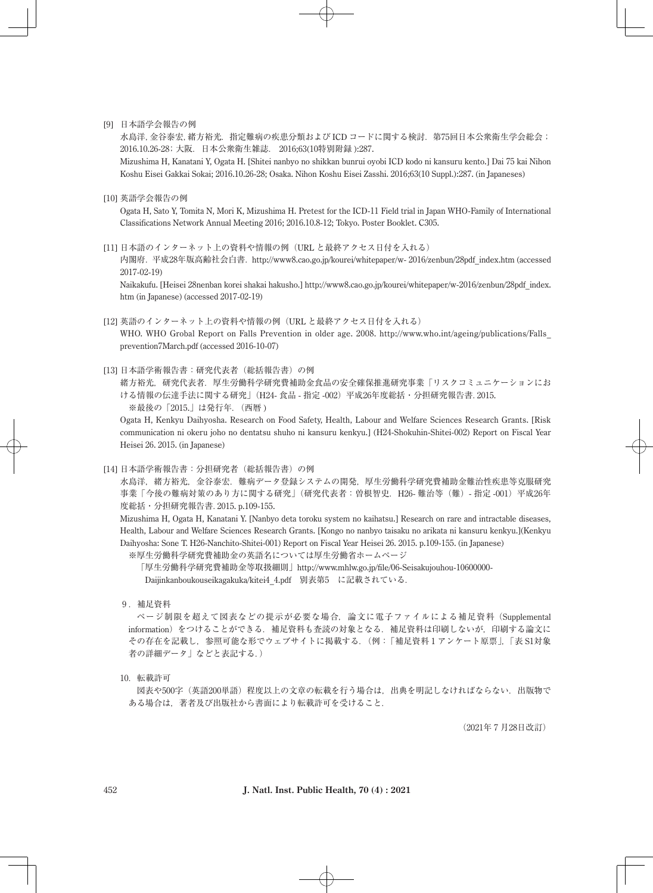[9] 日本語学会報告の例

水島洋,金谷泰宏,緒方裕光. 指定難病の疾患分類および ICD コードに関する検討. 第75回日本公衆衛生学会総会; 2016.10.26-28;大阪.日本公衆衛生雑誌. 2016;63(10特別附録 ):287.

Mizushima H, Kanatani Y, Ogata H. [Shitei nanbyo no shikkan bunrui oyobi ICD kodo ni kansuru kento.] Dai 75 kai Nihon Koshu Eisei Gakkai Sokai; 2016.10.26-28; Osaka. Nihon Koshu Eisei Zasshi. 2016;63(10 Suppl.):287. (in Japaneses)

[10] 英語学会報告の例

Ogata H, Sato Y, Tomita N, Mori K, Mizushima H. Pretest for the ICD-11 Field trial in Japan WHO-Family of International Classifications Network Annual Meeting 2016; 2016.10.8-12; Tokyo. Poster Booklet. C305.

[11] 日本語のインターネット上の資料や情報の例 (URL と最終アクセス日付を入れる)

内閣府.平成28年版高齢社会白書.http://www8.cao.go.jp/kourei/whitepaper/w- 2016/zenbun/28pdf\_index.htm (accessed 2017-02-19)

Naikakufu. [Heisei 28nenban korei shakai hakusho.] http://www8.cao.go.jp/kourei/whitepaper/w-2016/zenbun/28pdf\_index. htm (in Japanese) (accessed 2017-02-19)

[12] 英語のインターネット上の資料や情報の例(URL と最終アクセス日付を入れる)

WHO. WHO Grobal Report on Falls Prevention in older age. 2008. http://www.who.int/ageing/publications/Falls\_ prevention7March.pdf (accessed 2016-10-07)

#### [13] 日本語学術報告書:研究代表者(総括報告書)の例

緒方裕光,研究代表者.厚生労働科学研究費補助金食品の安全確保推進研究事業「リスクコミュニケーションにお ける情報の伝達手法に関する研究」(H24-食品 - 指定-002)平成26年度総括·分担研究報告書. 2015. ※最後の「2015.」は発行年. (西暦)

Ogata H, Kenkyu Daihyosha. Research on Food Safety, Health, Labour and Welfare Sciences Research Grants. [Risk communication ni okeru joho no dentatsu shuho ni kansuru kenkyu.] (H24-Shokuhin-Shitei-002) Report on Fiscal Year Heisei 26. 2015. (in Japanese)

[14] 日本語学術報告書:分担研究者(総括報告書)の例

水島洋,緒方裕光,金谷泰宏.難病データ登録システムの開発,厚生労働科学研究費補助金難治性疾患等克服研究 事業「今後の難病対策のあり方に関する研究」(研究代表者:曽根智史.H26- 難治等(難)- 指定 -001)平成26年 度総括・分担研究報告書.2015. p.109-155.

Mizushima H, Ogata H, Kanatani Y. [Nanbyo deta toroku system no kaihatsu.] Research on rare and intractable diseases, Health, Labour and Welfare Sciences Research Grants. [Kongo no nanbyo taisaku no arikata ni kansuru kenkyu.](Kenkyu Daihyosha: Sone T. H26-Nanchito-Shitei-001) Report on Fiscal Year Heisei 26. 2015. p.109-155. (in Japanese)

※厚生労働科学研究費補助金の英語名については厚生労働省ホームページ

「厚生労働科学研究費補助金等取扱細則」http://www.mhlw.go.jp/file/06-Seisakujouhou-10600000- Daijinkanboukouseikagakuka/kitei4\_4.pdf 別表第5 に記載されている.

9 .補足資料

ページ制限を超えて図表などの提示が必要な場合,論文に電子ファイルによる補足資料(Supplemental information)をつけることができる.補足資料も査読の対象となる.補足資料は印刷しないが,印刷する論文に その存在を記載し,参照可能な形でウェブサイトに掲載する.(例:「補足資料 1 アンケート原票」,「表 S1対象 者の詳細データ」などと表記する.)

10.転載許可

図表や500字(英語200単語)程度以上の文章の転載を行う場合は、出典を明記しなければならない.出版物で ある場合は,著者及び出版社から書面により転載許可を受けること.

(2021年 7 月28日改訂)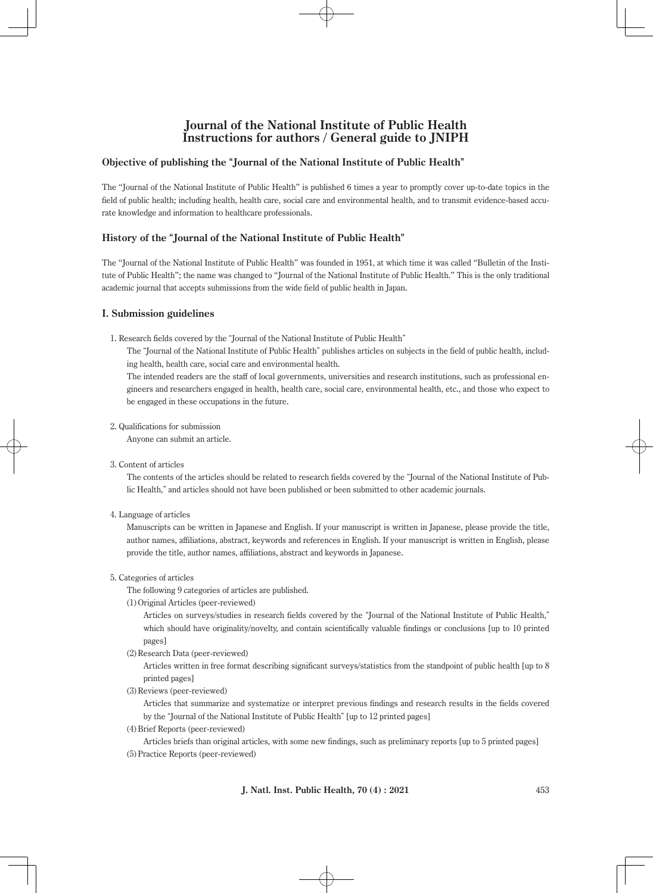# **Journal of the National Institute of Public Health Instructions for authors / General guide to JNIPH**

### **Objective of publishing the "Journal of the National Institute of Public Health"**

The "Journal of the National Institute of Public Health" is published 6 times a year to promptly cover up-to-date topics in the field of public health; including health, health care, social care and environmental health, and to transmit evidence-based accurate knowledge and information to healthcare professionals.

## **History of the "Journal of the National Institute of Public Health"**

The "Journal of the National Institute of Public Health" was founded in 1951, at which time it was called "Bulletin of the Institute of Public Health"; the name was changed to "Journal of the National Institute of Public Health." This is the only traditional academic journal that accepts submissions from the wide field of public health in Japan.

### **I. Submission guidelines**

1. Research fields covered by the "Journal of the National Institute of Public Health"

The "Journal of the National Institute of Public Health" publishes articles on subjects in the field of public health, including health, health care, social care and environmental health.

The intended readers are the staff of local governments, universities and research institutions, such as professional engineers and researchers engaged in health, health care, social care, environmental health, etc., and those who expect to be engaged in these occupations in the future.

2. Qualifications for submission

Anyone can submit an article.

3. Content of articles

The contents of the articles should be related to research fields covered by the "Journal of the National Institute of Public Health," and articles should not have been published or been submitted to other academic journals.

4. Language of articles

Manuscripts can be written in Japanese and English. If your manuscript is written in Japanese, please provide the title, author names, affiliations, abstract, keywords and references in English. If your manuscript is written in English, please provide the title, author names, affiliations, abstract and keywords in Japanese.

### 5. Categories of articles

The following 9 categories of articles are published.

(1) Original Articles (peer-reviewed)

Articles on surveys/studies in research fields covered by the "Journal of the National Institute of Public Health," which should have originality/novelty, and contain scientifically valuable findings or conclusions [up to 10 printed pages]

(2) Research Data (peer-reviewed)

Articles written in free format describing significant surveys/statistics from the standpoint of public health [up to 8 printed pages]

(3) Reviews (peer-reviewed)

Articles that summarize and systematize or interpret previous findings and research results in the fields covered by the "Journal of the National Institute of Public Health" [up to 12 printed pages]

(4) Brief Reports (peer-reviewed)

Articles briefs than original articles, with some new findings, such as preliminary reports [up to 5 printed pages] (5) Practice Reports (peer-reviewed)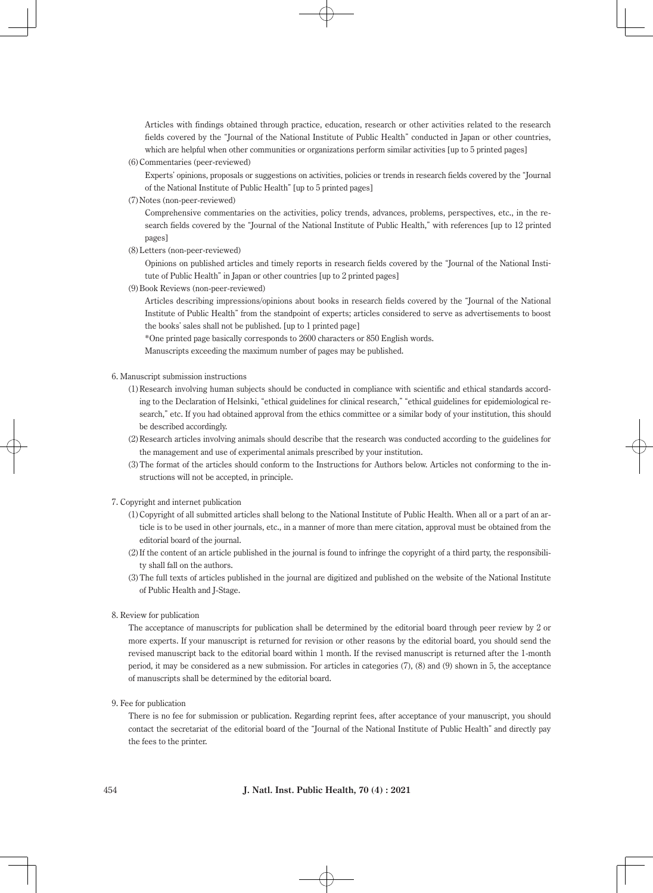Articles with findings obtained through practice, education, research or other activities related to the research fields covered by the "Journal of the National Institute of Public Health" conducted in Japan or other countries, which are helpful when other communities or organizations perform similar activities [up to 5 printed pages]

(6) Commentaries (peer-reviewed)

Experts' opinions, proposals or suggestions on activities, policies or trends in research fields covered by the "Journal of the National Institute of Public Health" [up to 5 printed pages]

(7) Notes (non-peer-reviewed)

Comprehensive commentaries on the activities, policy trends, advances, problems, perspectives, etc., in the research fields covered by the "Journal of the National Institute of Public Health," with references [up to 12 printed pages]

(8) Letters (non-peer-reviewed)

Opinions on published articles and timely reports in research fields covered by the "Journal of the National Institute of Public Health" in Japan or other countries [up to 2 printed pages]

(9) Book Reviews (non-peer-reviewed)

Articles describing impressions/opinions about books in research fields covered by the "Journal of the National Institute of Public Health" from the standpoint of experts; articles considered to serve as advertisements to boost the books' sales shall not be published. [up to 1 printed page]

\*One printed page basically corresponds to 2600 characters or 850 English words.

Manuscripts exceeding the maximum number of pages may be published.

- 6. Manuscript submission instructions
	- (1) Research involving human subjects should be conducted in compliance with scientific and ethical standards according to the Declaration of Helsinki, "ethical guidelines for clinical research," "ethical guidelines for epidemiological research," etc. If you had obtained approval from the ethics committee or a similar body of your institution, this should be described accordingly.
	- (2) Research articles involving animals should describe that the research was conducted according to the guidelines for the management and use of experimental animals prescribed by your institution.
	- (3) The format of the articles should conform to the Instructions for Authors below. Articles not conforming to the instructions will not be accepted, in principle.

7. Copyright and internet publication

- (1) Copyright of all submitted articles shall belong to the National Institute of Public Health. When all or a part of an article is to be used in other journals, etc., in a manner of more than mere citation, approval must be obtained from the editorial board of the journal.
- (2) If the content of an article published in the journal is found to infringe the copyright of a third party, the responsibility shall fall on the authors.
- (3) The full texts of articles published in the journal are digitized and published on the website of the National Institute of Public Health and J-Stage.
- 8. Review for publication

The acceptance of manuscripts for publication shall be determined by the editorial board through peer review by 2 or more experts. If your manuscript is returned for revision or other reasons by the editorial board, you should send the revised manuscript back to the editorial board within 1 month. If the revised manuscript is returned after the 1-month period, it may be considered as a new submission. For articles in categories (7), (8) and (9) shown in 5, the acceptance of manuscripts shall be determined by the editorial board.

9. Fee for publication

There is no fee for submission or publication. Regarding reprint fees, after acceptance of your manuscript, you should contact the secretariat of the editorial board of the "Journal of the National Institute of Public Health" and directly pay the fees to the printer.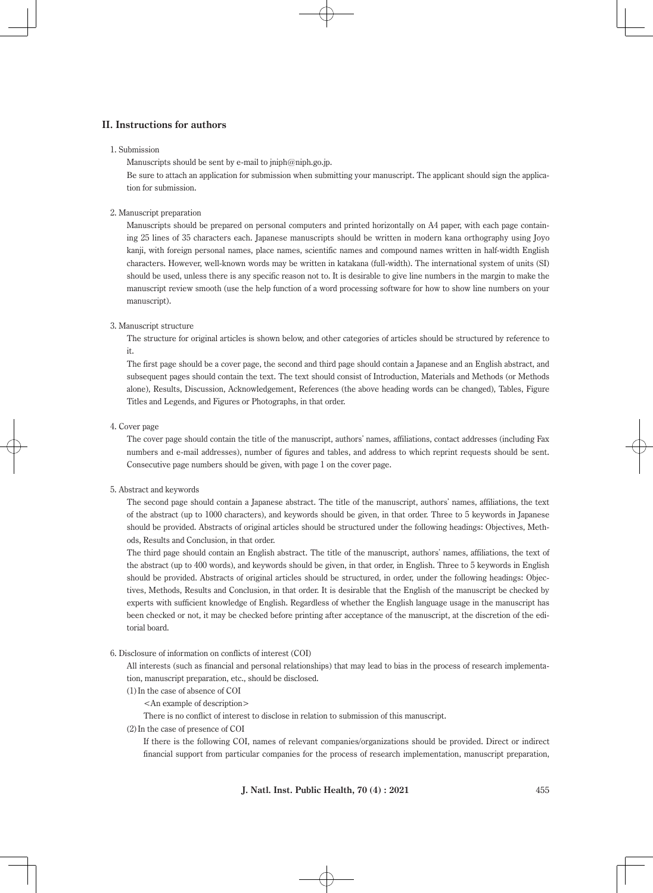### **II. Instructions for authors**

#### 1. Submission

Manuscripts should be sent by e-mail to  $\text{iniph@niph.gov.}$ 

Be sure to attach an application for submission when submitting your manuscript. The applicant should sign the application for submission.

### 2. Manuscript preparation

Manuscripts should be prepared on personal computers and printed horizontally on A4 paper, with each page containing 25 lines of 35 characters each. Japanese manuscripts should be written in modern kana orthography using Joyo kanji, with foreign personal names, place names, scientific names and compound names written in half-width English characters. However, well-known words may be written in katakana (full-width). The international system of units (SI) should be used, unless there is any specific reason not to. It is desirable to give line numbers in the margin to make the manuscript review smooth (use the help function of a word processing software for how to show line numbers on your manuscript).

### 3. Manuscript structure

The structure for original articles is shown below, and other categories of articles should be structured by reference to it.

The first page should be a cover page, the second and third page should contain a Japanese and an English abstract, and subsequent pages should contain the text. The text should consist of Introduction, Materials and Methods (or Methods alone), Results, Discussion, Acknowledgement, References (the above heading words can be changed), Tables, Figure Titles and Legends, and Figures or Photographs, in that order.

#### 4. Cover page

The cover page should contain the title of the manuscript, authors' names, affiliations, contact addresses (including Fax numbers and e-mail addresses), number of figures and tables, and address to which reprint requests should be sent. Consecutive page numbers should be given, with page 1 on the cover page.

### 5. Abstract and keywords

The second page should contain a Japanese abstract. The title of the manuscript, authors' names, affiliations, the text of the abstract (up to 1000 characters), and keywords should be given, in that order. Three to 5 keywords in Japanese should be provided. Abstracts of original articles should be structured under the following headings: Objectives, Methods, Results and Conclusion, in that order.

The third page should contain an English abstract. The title of the manuscript, authors' names, affiliations, the text of the abstract (up to 400 words), and keywords should be given, in that order, in English. Three to 5 keywords in English should be provided. Abstracts of original articles should be structured, in order, under the following headings: Objectives, Methods, Results and Conclusion, in that order. It is desirable that the English of the manuscript be checked by experts with sufficient knowledge of English. Regardless of whether the English language usage in the manuscript has been checked or not, it may be checked before printing after acceptance of the manuscript, at the discretion of the editorial board.

#### 6. Disclosure of information on conflicts of interest (COI)

All interests (such as financial and personal relationships) that may lead to bias in the process of research implementation, manuscript preparation, etc., should be disclosed.

(1) In the case of absence of COI

<An example of description>

There is no conflict of interest to disclose in relation to submission of this manuscript.

(2) In the case of presence of COI

If there is the following COI, names of relevant companies/organizations should be provided. Direct or indirect financial support from particular companies for the process of research implementation, manuscript preparation,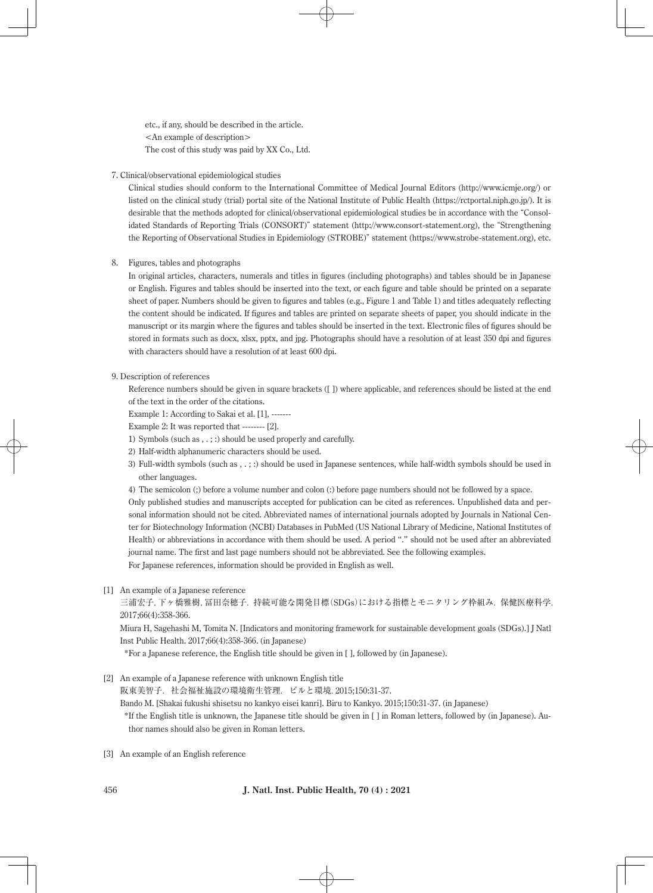etc., if any, should be described in the article. <An example of description> The cost of this study was paid by XX Co., Ltd.

### 7. Clinical/observational epidemiological studies

Clinical studies should conform to the International Committee of Medical Journal Editors (http://www.icmje.org/) or listed on the clinical study (trial) portal site of the National Institute of Public Health (https://rctportal.niph.go.jp/). It is desirable that the methods adopted for clinical/observational epidemiological studies be in accordance with the "Consolidated Standards of Reporting Trials (CONSORT)" statement (http://www.consort-statement.org), the "Strengthening the Reporting of Observational Studies in Epidemiology (STROBE)" statement (https://www.strobe-statement.org), etc.

### 8. Figures, tables and photographs

In original articles, characters, numerals and titles in figures (including photographs) and tables should be in Japanese or English. Figures and tables should be inserted into the text, or each figure and table should be printed on a separate sheet of paper. Numbers should be given to figures and tables (e.g., Figure 1 and Table 1) and titles adequately reflecting the content should be indicated. If figures and tables are printed on separate sheets of paper, you should indicate in the manuscript or its margin where the figures and tables should be inserted in the text. Electronic files of figures should be stored in formats such as docx, xlsx, pptx, and jpg. Photographs should have a resolution of at least 350 dpi and figures with characters should have a resolution of at least 600 dpi.

### 9. Description of references

Reference numbers should be given in square brackets ([ ]) where applicable, and references should be listed at the end of the text in the order of the citations.

Example 1: According to Sakai et al. [1], -------

Example 2: It was reported that -------- [2].

- 1) Symbols (such as , . ; :) should be used properly and carefully.
- 2) Half-width alphanumeric characters should be used.
- 3) Full-width symbols (such as , . ; :) should be used in Japanese sentences, while half-width symbols should be used in other languages.
- 4) The semicolon (;) before a volume number and colon (:) before page numbers should not be followed by a space.

Only published studies and manuscripts accepted for publication can be cited as references. Unpublished data and personal information should not be cited. Abbreviated names of international journals adopted by Journals in National Center for Biotechnology Information (NCBI) Databases in PubMed (US National Library of Medicine, National Institutes of Health) or abbreviations in accordance with them should be used. A period "." should not be used after an abbreviated journal name. The first and last page numbers should not be abbreviated. See the following examples. For Japanese references, information should be provided in English as well.

#### [1] An example of a Japanese reference

三浦宏子,下ヶ橋雅樹,冨田奈穂子.持続可能な開発目標(SDGs)における指標とモニタリング枠組み. 保健医療科学. 2017;66(4):358-366.

Miura H, Sagehashi M, Tomita N. [Indicators and monitoring framework for sustainable development goals (SDGs).] J Natl Inst Public Health. 2017;66(4):358-366. (in Japanese)

\*For a Japanese reference, the English title should be given in [ ], followed by (in Japanese).

[2] An example of a Japanese reference with unknown English title

阪東美智子.社会福祉施設の環境衛生管理.ビルと環境.2015;150:31-37.

Bando M. [Shakai fukushi shisetsu no kankyo eisei kanri]. Biru to Kankyo. 2015;150:31-37. (in Japanese)

- \* If the English title is unknown, the Japanese title should be given in [ ] in Roman letters, followed by (in Japanese). Author names should also be given in Roman letters.
- [3] An example of an English reference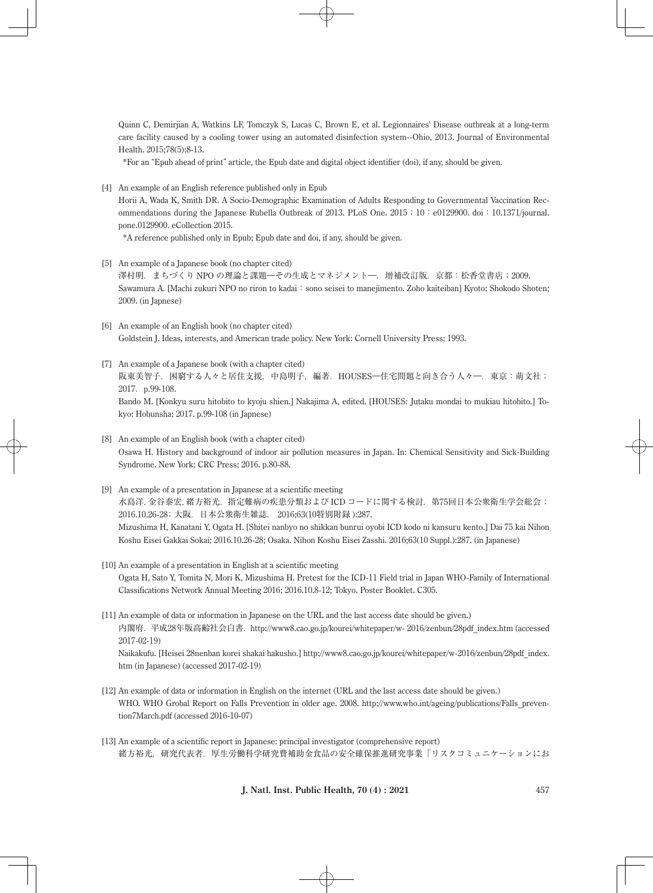Quinn C, Demirjian A, Watkins LF, Tomczyk S, Lucas C, Brown E, et al. Legionnaires' Disease outbreak at a long-term care facility caused by a cooling tower using an automated disinfection system--Ohio, 2013. Journal of Environmental Health. 2015;78(5):8-13.

\*For an "Epub ahead of print" article, the Epub date and digital object identifier (doi), if any, should be given.

[4] An example of an English reference published only in Epub

kyo: Hobunsha; 2017. p.99-108 (in Japnese)

Horii A, Wada K, Smith DR. A Socio-Demographic Examination of Adults Responding to Governmental Vaccination Recommendations during the Japanese Rubella Outbreak of 2013. PLoS One. 2015;10:e0129900. doi:10.1371/journal. pone.0129900. eCollection 2015.

\*A reference published only in Epub; Epub date and doi, if any, should be given.

- [5] An example of a Japanese book (no chapter cited) 澤村明.まちづくり NPO の理論と課題―その生成とマネジメント―.増補改訂版.京都:松香堂書店;2009. Sawamura A. [Machi zukuri NPO no riron to kadai: sono seisei to manejimento. Zoho kaiteiban] Kyoto: Shokodo Shoten; 2009. (in Japnese)
- [6] An example of an English book (no chapter cited) Goldstein J. Ideas, interests, and American trade policy. New York: Cornell University Press; 1993.
- [7] An example of a Japanese book (with a chapter cited) 阪東美智子.困窮する人々と居住支援.中島明子,編著.HOUSES―住宅問題と向き合う人々―.東京:萌文社; 2017. p.99-108. Bando M. [Konkyu suru hitobito to kyoju shien.] Nakajima A, edited. [HOUSES: Jutaku mondai to mukiau hitobito.] To-
- [8] An example of an English book (with a chapter cited) Osawa H. History and background of indoor air pollution measures in Japan. In: Chemical Sensitivity and Sick-Building Syndrome. New York; CRC Press; 2016. p.80-88.
- [9] An example of a presentation in Japanese at a scientific meeting 水島洋,金谷泰宏,緒方裕光. 指定難病の疾患分類および ICD コードに関する検討. 第75回日本公衆衛生学会総会; 2016.10.26-28;大阪.日本公衆衛生雑誌. 2016;63(10特別附録 ):287. Mizushima H, Kanatani Y, Ogata H. [Shitei nanbyo no shikkan bunrui oyobi ICD kodo ni kansuru kento.] Dai 75 kai Nihon Koshu Eisei Gakkai Sokai; 2016.10.26-28; Osaka. Nihon Koshu Eisei Zasshi. 2016;63(10 Suppl.):287. (in Japanese)
- [10] An example of a presentation in English at a scientific meeting Ogata H, Sato Y, Tomita N, Mori K, Mizushima H. Pretest for the ICD-11 Field trial in Japan WHO-Family of International Classifications Network Annual Meeting 2016; 2016.10.8-12; Tokyo. Poster Booklet. C305.
- [11] An example of data or information in Japanese on the URL and the last access date should be given.) 内閣府. 平成28年版高齢社会白書. http://www8.cao.go.jp/kourei/whitepaper/w- 2016/zenbun/28pdf index.htm (accessed 2017-02-19) Naikakufu. [Heisei 28nenban korei shakai hakusho.] http://www8.cao.go.jp/kourei/whitepaper/w-2016/zenbun/28pdf\_index. htm (in Japanese) (accessed 2017-02-19)
- [12] An example of data or information in English on the internet (URL and the last access date should be given.) WHO. WHO Grobal Report on Falls Prevention in older age. 2008. http://www.who.int/ageing/publications/Falls\_prevention7March.pdf (accessed 2016-10-07)
- [13] An example of a scientific report in Japanese: principal investigator (comprehensive report) 緒方裕光,研究代表者.厚生労働科学研究費補助金食品の安全確保推進研究事業「リスクコミュニケーションにお